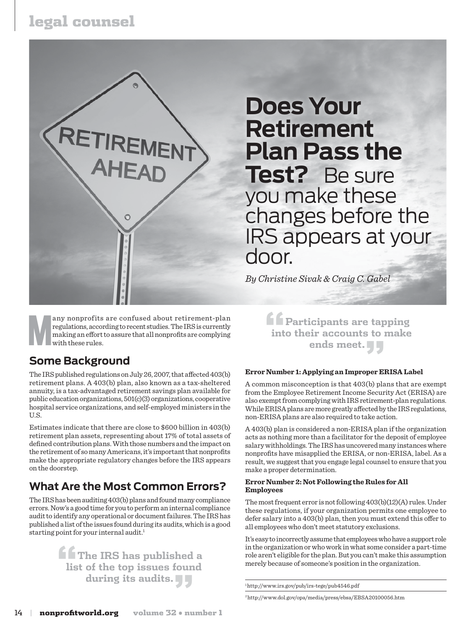# legal counsel



**Many nonprofits are confused about retirement-plan regulations, according to recent studies. The IRS is currently making an effort to assure that all nonprofits are complying with these rules.** regulations, according to recent studies. The IRS is currently making an effort to assure that all nonprofits are complying with these rules.

### **Some Background**

The IRS published regulations on July 26, 2007, that affected 403(b) retirement plans. A 403(b) plan, also known as a tax-sheltered annuity, is a tax-advantaged retirement savings plan available for public education organizations, 501(c)(3) organizations, cooperative hospital service organizations, and self-employed ministers in the U.S.

Estimates indicate that there are close to \$600 billion in 403(b) retirement plan assets, representing about 17% of total assets of defined contribution plans. With those numbers and the impact on the retirement of so many Americans, it's important that nonprofits make the appropriate regulatory changes before the IRS appears on the doorstep.

### **What Are the Most Common Errors?**

The IRS has been auditing 403(b) plans and found many compliance errors. Now's a good time for you to perform an internal compliance audit to identify any operational or document failures. The IRS has published a list of the issues found during its audits, which is a good starting point for your internal audit.<sup>1</sup>

> **"The IRS has published a list of the top issues found during its audits."**

**Does Your Retirement Plan Pass the Test?** Be sure you make these changes before the IRS appears at your door.

*By Christine Sivak & Craig C. Gabel*

**"Participants are tapping into their accounts to make ends meet."**

#### **Error Number 1: Applying an Improper ERISA Label**

A common misconception is that 403(b) plans that are exempt from the Employee Retirement Income Security Act (ERISA) are also exempt from complying with IRS retirement-plan regulations. While ERISA plans are more greatly affected by the IRS regulations, non-ERISA plans are also required to take action.

A 403(b) plan is considered a non-ERISA plan if the organization acts as nothing more than a facilitator for the deposit of employee salary withholdings. The IRS has uncovered many instances where nonprofits have misapplied the ERISA, or non-ERISA, label. As a result, we suggest that you engage legal counsel to ensure that you make a proper determination.

#### **Error Number 2: NotFollowing the Rules for All Employees**

The most frequent error is not following 403(b)(12)(A) rules. Under these regulations, if your organization permits one employee to defer salary into a 403(b) plan, then you must extend this offer to all employees who don't meet statutory exclusions.

It's easy to incorrectly assume that employees who have a support role in the organization or who work in what some consider a part-time role aren't eligible for the plan. But you can't make this assumption merely because of someone's position in the organization.

1 http://www.irs.gov/pub/irs-tege/pub4546.pdf

2 http://www.dol.gov/opa/media/press/ebsa/EBSA20100056.htm